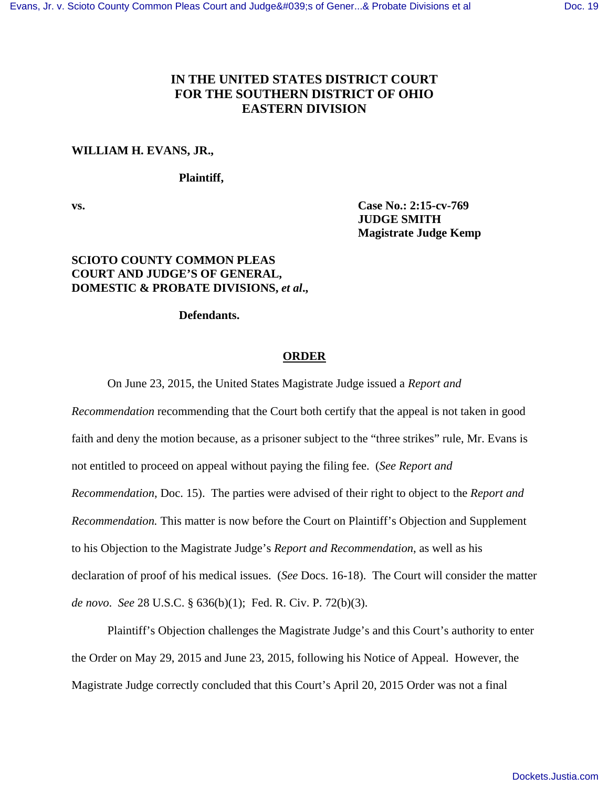# **IN THE UNITED STATES DISTRICT COURT FOR THE SOUTHERN DISTRICT OF OHIO EASTERN DIVISION**

### **WILLIAM H. EVANS, JR.,**

### **Plaintiff,**

**vs. Case No.: 2:15-cv-769 JUDGE SMITH Magistrate Judge Kemp**

## **SCIOTO COUNTY COMMON PLEAS COURT AND JUDGE'S OF GENERAL, DOMESTIC & PROBATE DIVISIONS,** *et al***.,**

### **Defendants.**

#### **ORDER**

On June 23, 2015, the United States Magistrate Judge issued a *Report and* 

*Recommendation* recommending that the Court both certify that the appeal is not taken in good faith and deny the motion because, as a prisoner subject to the "three strikes" rule, Mr. Evans is not entitled to proceed on appeal without paying the filing fee. (*See Report and Recommendation*, Doc. 15). The parties were advised of their right to object to the *Report and Recommendation.* This matter is now before the Court on Plaintiff's Objection and Supplement to his Objection to the Magistrate Judge's *Report and Recommendation*, as well as his declaration of proof of his medical issues. (*See* Docs. 16-18). The Court will consider the matter *de novo*. *See* 28 U.S.C. § 636(b)(1); Fed. R. Civ. P. 72(b)(3).

 Plaintiff's Objection challenges the Magistrate Judge's and this Court's authority to enter the Order on May 29, 2015 and June 23, 2015, following his Notice of Appeal. However, the Magistrate Judge correctly concluded that this Court's April 20, 2015 Order was not a final